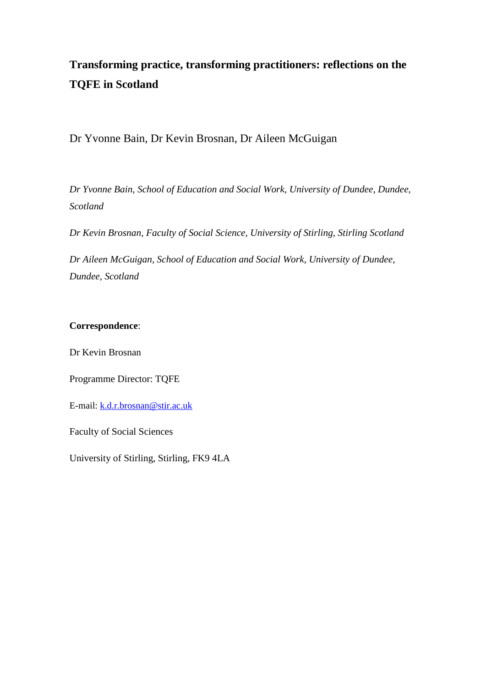# **Transforming practice, transforming practitioners: reflections on the TQFE in Scotland**

Dr Yvonne Bain, Dr Kevin Brosnan, Dr Aileen McGuigan

*Dr Yvonne Bain, School of Education and Social Work, University of Dundee, Dundee, Scotland*

*Dr Kevin Brosnan, Faculty of Social Science, University of Stirling, Stirling Scotland*

*Dr Aileen McGuigan, School of Education and Social Work, University of Dundee, Dundee, Scotland*

# **Correspondence**:

Dr Kevin Brosnan

Programme Director: TQFE

E-mail: [k.d.r.brosnan@stir.ac.uk](mailto:k.d.r.brosnan@stir.ac.uk)

Faculty of Social Sciences

University of Stirling, Stirling, FK9 4LA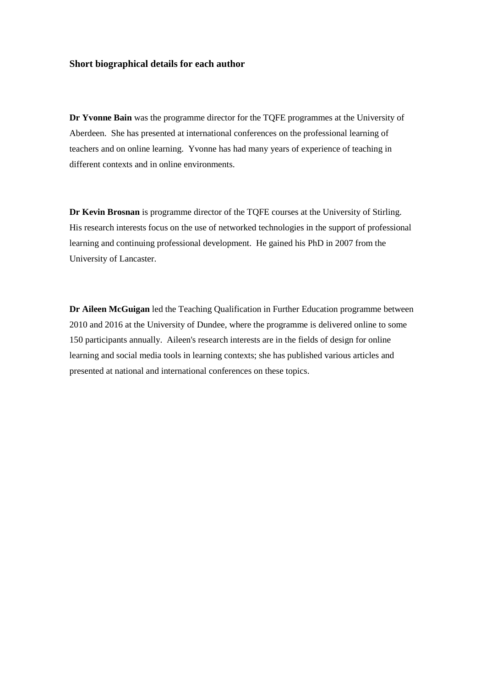#### **Short biographical details for each author**

**Dr Yvonne Bain** was the programme director for the TQFE programmes at the University of Aberdeen. She has presented at international conferences on the professional learning of teachers and on online learning. Yvonne has had many years of experience of teaching in different contexts and in online environments.

**Dr Kevin Brosnan** is programme director of the TQFE courses at the University of Stirling. His research interests focus on the use of networked technologies in the support of professional learning and continuing professional development. He gained his PhD in 2007 from the University of Lancaster.

**Dr Aileen McGuigan** led the Teaching Qualification in Further Education programme between 2010 and 2016 at the University of Dundee, where the programme is delivered online to some 150 participants annually. Aileen's research interests are in the fields of design for online learning and social media tools in learning contexts; she has published various articles and presented at national and international conferences on these topics.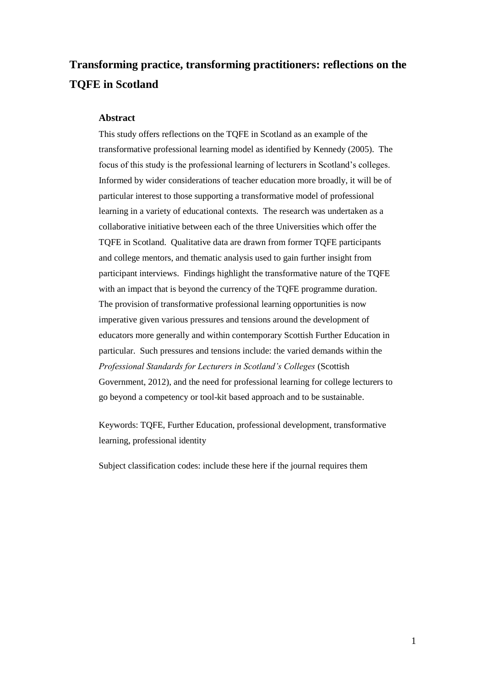# **Transforming practice, transforming practitioners: reflections on the TQFE in Scotland**

#### **Abstract**

This study offers reflections on the TQFE in Scotland as an example of the transformative professional learning model as identified by Kennedy (2005). The focus of this study is the professional learning of lecturers in Scotland's colleges. Informed by wider considerations of teacher education more broadly, it will be of particular interest to those supporting a transformative model of professional learning in a variety of educational contexts. The research was undertaken as a collaborative initiative between each of the three Universities which offer the TQFE in Scotland. Qualitative data are drawn from former TQFE participants and college mentors, and thematic analysis used to gain further insight from participant interviews. Findings highlight the transformative nature of the TQFE with an impact that is beyond the currency of the TQFE programme duration. The provision of transformative professional learning opportunities is now imperative given various pressures and tensions around the development of educators more generally and within contemporary Scottish Further Education in particular. Such pressures and tensions include: the varied demands within the *Professional Standards for Lecturers in Scotland's Colleges* (Scottish Government, 2012), and the need for professional learning for college lecturers to go beyond a competency or tool-kit based approach and to be sustainable.

Keywords: TQFE, Further Education, professional development, transformative learning, professional identity

Subject classification codes: include these here if the journal requires them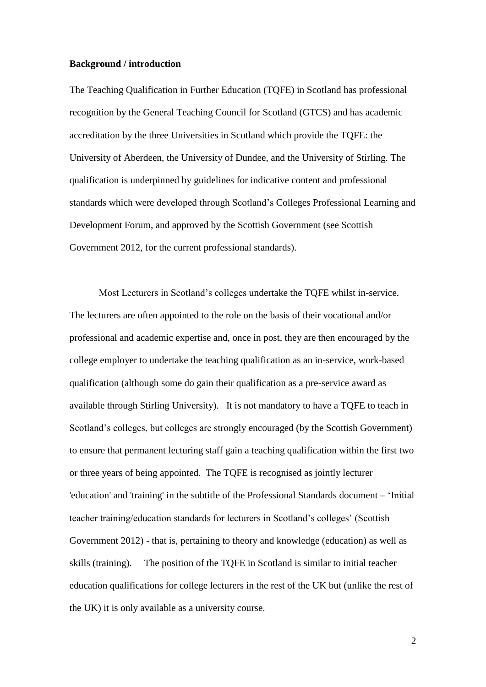### **Background / introduction**

The Teaching Qualification in Further Education (TQFE) in Scotland has professional recognition by the General Teaching Council for Scotland (GTCS) and has academic accreditation by the three Universities in Scotland which provide the TQFE: the University of Aberdeen, the University of Dundee, and the University of Stirling. The qualification is underpinned by guidelines for indicative content and professional standards which were developed through Scotland's Colleges Professional Learning and Development Forum, and approved by the Scottish Government (see Scottish Government 2012, for the current professional standards).

Most Lecturers in Scotland's colleges undertake the TQFE whilst in-service. The lecturers are often appointed to the role on the basis of their vocational and/or professional and academic expertise and, once in post, they are then encouraged by the college employer to undertake the teaching qualification as an in-service, work-based qualification (although some do gain their qualification as a pre-service award as available through Stirling University). It is not mandatory to have a TQFE to teach in Scotland's colleges, but colleges are strongly encouraged (by the Scottish Government) to ensure that permanent lecturing staff gain a teaching qualification within the first two or three years of being appointed. The TQFE is recognised as jointly lecturer 'education' and 'training' in the subtitle of the Professional Standards document – 'Initial teacher training/education standards for lecturers in Scotland's colleges' (Scottish Government 2012) - that is, pertaining to theory and knowledge (education) as well as skills (training). The position of the TQFE in Scotland is similar to initial teacher education qualifications for college lecturers in the rest of the UK but (unlike the rest of the UK) it is only available as a university course.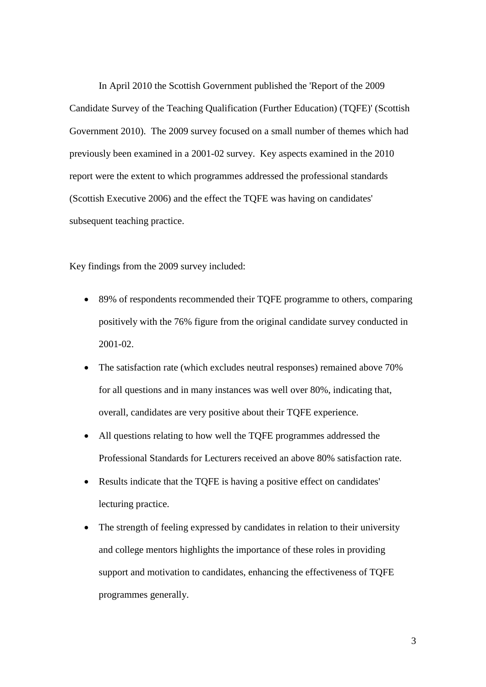In April 2010 the Scottish Government published the 'Report of the 2009 Candidate Survey of the Teaching Qualification (Further Education) (TQFE)' (Scottish Government 2010). The 2009 survey focused on a small number of themes which had previously been examined in a 2001-02 survey. Key aspects examined in the 2010 report were the extent to which programmes addressed the professional standards (Scottish Executive 2006) and the effect the TQFE was having on candidates' subsequent teaching practice.

Key findings from the 2009 survey included:

- 89% of respondents recommended their TQFE programme to others, comparing positively with the 76% figure from the original candidate survey conducted in 2001-02.
- The satisfaction rate (which excludes neutral responses) remained above 70% for all questions and in many instances was well over 80%, indicating that, overall, candidates are very positive about their TQFE experience.
- All questions relating to how well the TQFE programmes addressed the Professional Standards for Lecturers received an above 80% satisfaction rate.
- Results indicate that the TQFE is having a positive effect on candidates' lecturing practice.
- The strength of feeling expressed by candidates in relation to their university and college mentors highlights the importance of these roles in providing support and motivation to candidates, enhancing the effectiveness of TQFE programmes generally.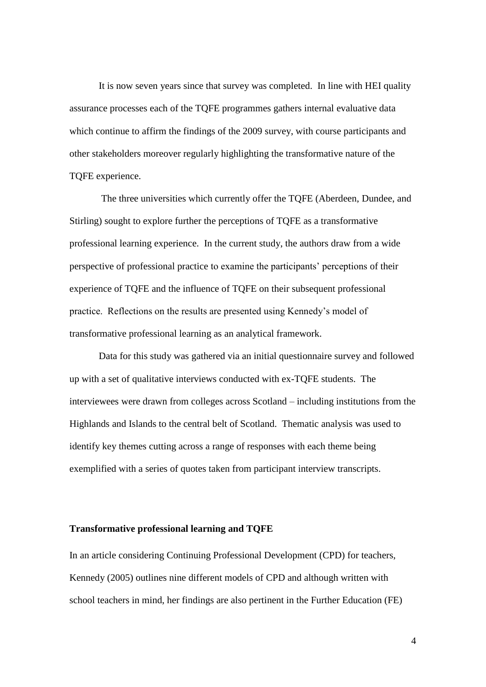It is now seven years since that survey was completed. In line with HEI quality assurance processes each of the TQFE programmes gathers internal evaluative data which continue to affirm the findings of the 2009 survey, with course participants and other stakeholders moreover regularly highlighting the transformative nature of the TQFE experience.

The three universities which currently offer the TQFE (Aberdeen, Dundee, and Stirling) sought to explore further the perceptions of TQFE as a transformative professional learning experience. In the current study, the authors draw from a wide perspective of professional practice to examine the participants' perceptions of their experience of TQFE and the influence of TQFE on their subsequent professional practice. Reflections on the results are presented using Kennedy's model of transformative professional learning as an analytical framework.

Data for this study was gathered via an initial questionnaire survey and followed up with a set of qualitative interviews conducted with ex-TQFE students. The interviewees were drawn from colleges across Scotland – including institutions from the Highlands and Islands to the central belt of Scotland. Thematic analysis was used to identify key themes cutting across a range of responses with each theme being exemplified with a series of quotes taken from participant interview transcripts.

#### **Transformative professional learning and TQFE**

In an article considering Continuing Professional Development (CPD) for teachers, Kennedy (2005) outlines nine different models of CPD and although written with school teachers in mind, her findings are also pertinent in the Further Education (FE)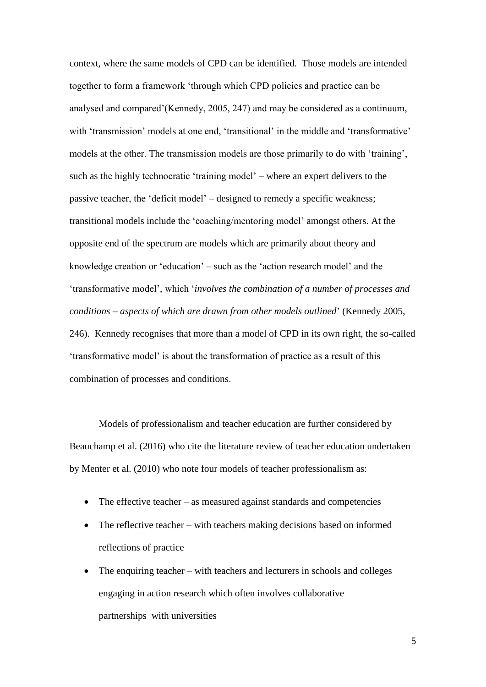context, where the same models of CPD can be identified. Those models are intended together to form a framework 'through which CPD policies and practice can be analysed and compared'(Kennedy, 2005, 247) and may be considered as a continuum, with 'transmission' models at one end, 'transitional' in the middle and 'transformative' models at the other. The transmission models are those primarily to do with 'training', such as the highly technocratic 'training model' – where an expert delivers to the passive teacher, the 'deficit model' – designed to remedy a specific weakness; transitional models include the 'coaching/mentoring model' amongst others. At the opposite end of the spectrum are models which are primarily about theory and knowledge creation or 'education' – such as the 'action research model' and the 'transformative model', which '*involves the combination of a number of processes and conditions – aspects of which are drawn from other models outlined*' (Kennedy 2005, 246). Kennedy recognises that more than a model of CPD in its own right, the so-called 'transformative model' is about the transformation of practice as a result of this combination of processes and conditions.

Models of professionalism and teacher education are further considered by Beauchamp et al. (2016) who cite the literature review of teacher education undertaken by Menter et al. (2010) who note four models of teacher professionalism as:

- The effective teacher as measured against standards and competencies
- The reflective teacher with teachers making decisions based on informed reflections of practice
- The enquiring teacher with teachers and lecturers in schools and colleges engaging in action research which often involves collaborative partnerships with universities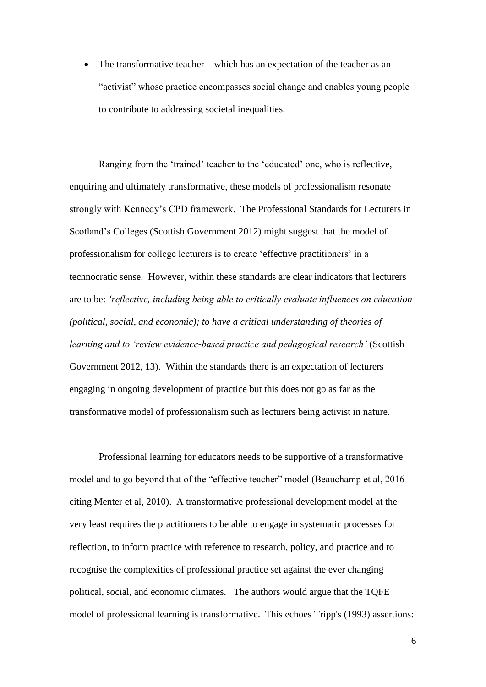• The transformative teacher – which has an expectation of the teacher as an "activist" whose practice encompasses social change and enables young people to contribute to addressing societal inequalities.

Ranging from the 'trained' teacher to the 'educated' one, who is reflective, enquiring and ultimately transformative, these models of professionalism resonate strongly with Kennedy's CPD framework. The Professional Standards for Lecturers in Scotland's Colleges (Scottish Government 2012) might suggest that the model of professionalism for college lecturers is to create 'effective practitioners' in a technocratic sense. However, within these standards are clear indicators that lecturers are to be: *'reflective, including being able to critically evaluate influences on education (political, social, and economic); to have a critical understanding of theories of learning and to 'review evidence-based practice and pedagogical research'* (Scottish Government 2012, 13). Within the standards there is an expectation of lecturers engaging in ongoing development of practice but this does not go as far as the transformative model of professionalism such as lecturers being activist in nature.

Professional learning for educators needs to be supportive of a transformative model and to go beyond that of the "effective teacher" model (Beauchamp et al, 2016 citing Menter et al, 2010). A transformative professional development model at the very least requires the practitioners to be able to engage in systematic processes for reflection, to inform practice with reference to research, policy, and practice and to recognise the complexities of professional practice set against the ever changing political, social, and economic climates. The authors would argue that the TQFE model of professional learning is transformative. This echoes Tripp's (1993) assertions: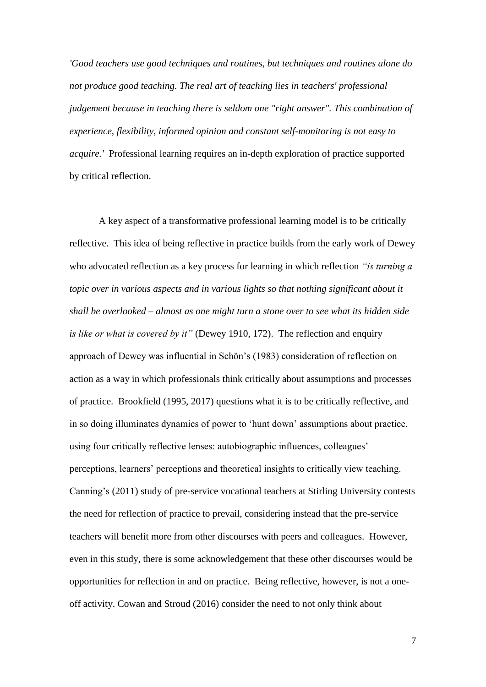*'Good teachers use good techniques and routines, but techniques and routines alone do not produce good teaching. The real art of teaching lies in teachers' professional judgement because in teaching there is seldom one "right answer". This combination of experience, flexibility, informed opinion and constant self-monitoring is not easy to acquire.'* Professional learning requires an in-depth exploration of practice supported by critical reflection.

A key aspect of a transformative professional learning model is to be critically reflective. This idea of being reflective in practice builds from the early work of Dewey who advocated reflection as a key process for learning in which reflection *"is turning a topic over in various aspects and in various lights so that nothing significant about it shall be overlooked – almost as one might turn a stone over to see what its hidden side is like or what is covered by it"* (Dewey 1910, 172). The reflection and enquiry approach of Dewey was influential in Schön's (1983) consideration of reflection on action as a way in which professionals think critically about assumptions and processes of practice. Brookfield (1995, 2017) questions what it is to be critically reflective, and in so doing illuminates dynamics of power to 'hunt down' assumptions about practice, using four critically reflective lenses: autobiographic influences, colleagues' perceptions, learners' perceptions and theoretical insights to critically view teaching. Canning's (2011) study of pre-service vocational teachers at Stirling University contests the need for reflection of practice to prevail, considering instead that the pre-service teachers will benefit more from other discourses with peers and colleagues. However, even in this study, there is some acknowledgement that these other discourses would be opportunities for reflection in and on practice. Being reflective, however, is not a oneoff activity. Cowan and Stroud (2016) consider the need to not only think about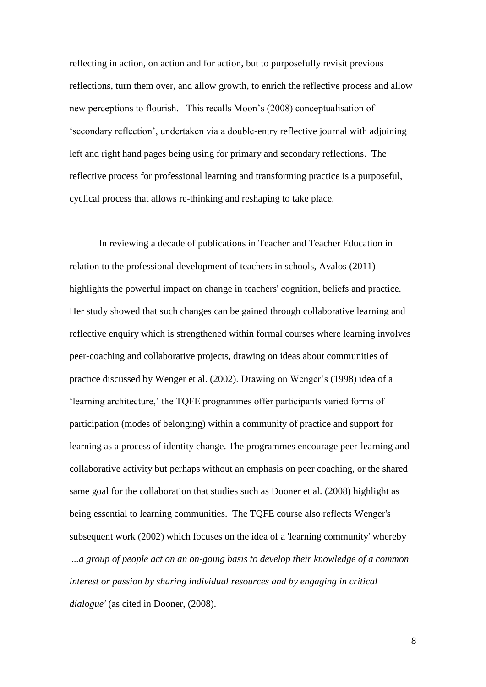reflecting in action, on action and for action, but to purposefully revisit previous reflections, turn them over, and allow growth, to enrich the reflective process and allow new perceptions to flourish. This recalls Moon's (2008) conceptualisation of 'secondary reflection', undertaken via a double-entry reflective journal with adjoining left and right hand pages being using for primary and secondary reflections. The reflective process for professional learning and transforming practice is a purposeful, cyclical process that allows re-thinking and reshaping to take place.

In reviewing a decade of publications in Teacher and Teacher Education in relation to the professional development of teachers in schools, Avalos (2011) highlights the powerful impact on change in teachers' cognition, beliefs and practice. Her study showed that such changes can be gained through collaborative learning and reflective enquiry which is strengthened within formal courses where learning involves peer-coaching and collaborative projects, drawing on ideas about communities of practice discussed by Wenger et al. (2002). Drawing on Wenger's (1998) idea of a 'learning architecture,' the TQFE programmes offer participants varied forms of participation (modes of belonging) within a community of practice and support for learning as a process of identity change. The programmes encourage peer-learning and collaborative activity but perhaps without an emphasis on peer coaching, or the shared same goal for the collaboration that studies such as Dooner et al. (2008) highlight as being essential to learning communities. The TQFE course also reflects Wenger's subsequent work (2002) which focuses on the idea of a 'learning community' whereby *'...a group of people act on an on-going basis to develop their knowledge of a common interest or passion by sharing individual resources and by engaging in critical dialogue'* (as cited in Dooner, (2008).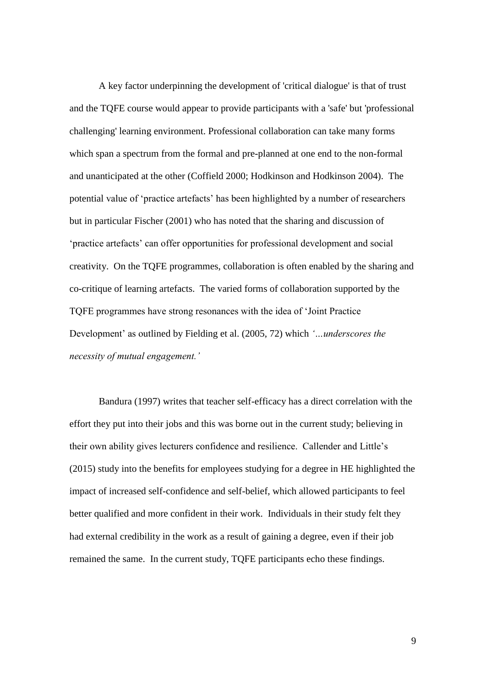A key factor underpinning the development of 'critical dialogue' is that of trust and the TQFE course would appear to provide participants with a 'safe' but 'professional challenging' learning environment. Professional collaboration can take many forms which span a spectrum from the formal and pre-planned at one end to the non-formal and unanticipated at the other (Coffield 2000; Hodkinson and Hodkinson 2004). The potential value of 'practice artefacts' has been highlighted by a number of researchers but in particular Fischer (2001) who has noted that the sharing and discussion of 'practice artefacts' can offer opportunities for professional development and social creativity. On the TQFE programmes, collaboration is often enabled by the sharing and co-critique of learning artefacts. The varied forms of collaboration supported by the TQFE programmes have strong resonances with the idea of 'Joint Practice Development' as outlined by Fielding et al. (2005, 72) which *'…underscores the necessity of mutual engagement.'*

Bandura (1997) writes that teacher self-efficacy has a direct correlation with the effort they put into their jobs and this was borne out in the current study; believing in their own ability gives lecturers confidence and resilience. Callender and Little's (2015) study into the benefits for employees studying for a degree in HE highlighted the impact of increased self-confidence and self-belief, which allowed participants to feel better qualified and more confident in their work. Individuals in their study felt they had external credibility in the work as a result of gaining a degree, even if their job remained the same. In the current study, TQFE participants echo these findings.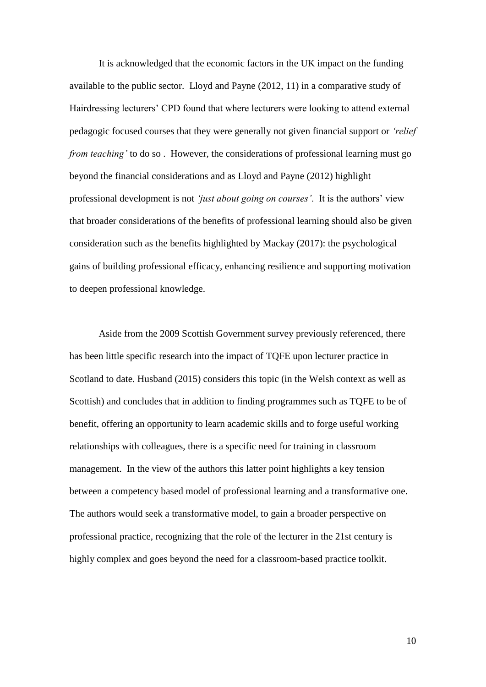It is acknowledged that the economic factors in the UK impact on the funding available to the public sector. Lloyd and Payne (2012, 11) in a comparative study of Hairdressing lecturers' CPD found that where lecturers were looking to attend external pedagogic focused courses that they were generally not given financial support or *'relief from teaching'* to do so. However, the considerations of professional learning must go beyond the financial considerations and as Lloyd and Payne (2012) highlight professional development is not *'just about going on courses'*. It is the authors' view that broader considerations of the benefits of professional learning should also be given consideration such as the benefits highlighted by Mackay (2017): the psychological gains of building professional efficacy, enhancing resilience and supporting motivation to deepen professional knowledge.

Aside from the 2009 Scottish Government survey previously referenced, there has been little specific research into the impact of TQFE upon lecturer practice in Scotland to date. Husband (2015) considers this topic (in the Welsh context as well as Scottish) and concludes that in addition to finding programmes such as TQFE to be of benefit, offering an opportunity to learn academic skills and to forge useful working relationships with colleagues, there is a specific need for training in classroom management. In the view of the authors this latter point highlights a key tension between a competency based model of professional learning and a transformative one. The authors would seek a transformative model, to gain a broader perspective on professional practice, recognizing that the role of the lecturer in the 21st century is highly complex and goes beyond the need for a classroom-based practice toolkit.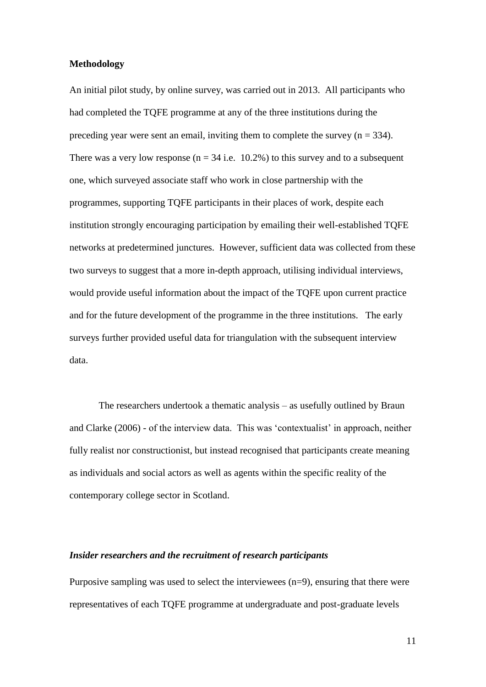## **Methodology**

An initial pilot study, by online survey, was carried out in 2013. All participants who had completed the TQFE programme at any of the three institutions during the preceding year were sent an email, inviting them to complete the survey  $(n = 334)$ . There was a very low response ( $n = 34$  i.e. 10.2%) to this survey and to a subsequent one, which surveyed associate staff who work in close partnership with the programmes, supporting TQFE participants in their places of work, despite each institution strongly encouraging participation by emailing their well-established TQFE networks at predetermined junctures. However, sufficient data was collected from these two surveys to suggest that a more in-depth approach, utilising individual interviews, would provide useful information about the impact of the TQFE upon current practice and for the future development of the programme in the three institutions. The early surveys further provided useful data for triangulation with the subsequent interview data.

The researchers undertook a thematic analysis – as usefully outlined by Braun and Clarke (2006) - of the interview data. This was 'contextualist' in approach, neither fully realist nor constructionist, but instead recognised that participants create meaning as individuals and social actors as well as agents within the specific reality of the contemporary college sector in Scotland.

## *Insider researchers and the recruitment of research participants*

Purposive sampling was used to select the interviewees (n=9), ensuring that there were representatives of each TQFE programme at undergraduate and post-graduate levels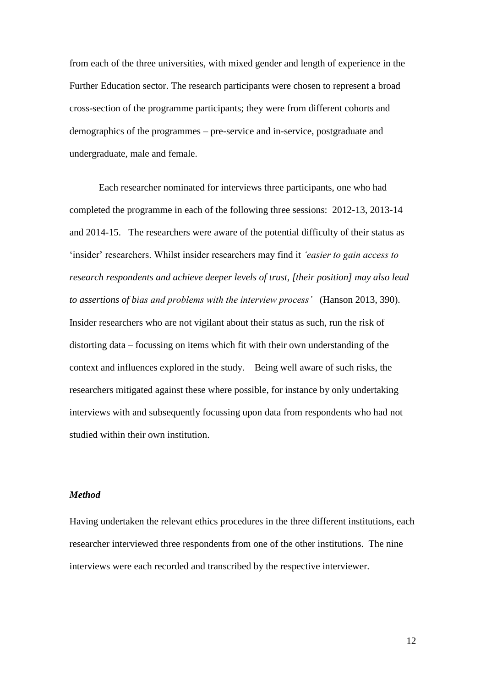from each of the three universities, with mixed gender and length of experience in the Further Education sector. The research participants were chosen to represent a broad cross-section of the programme participants; they were from different cohorts and demographics of the programmes – pre-service and in-service, postgraduate and undergraduate, male and female.

Each researcher nominated for interviews three participants, one who had completed the programme in each of the following three sessions: 2012-13, 2013-14 and 2014-15. The researchers were aware of the potential difficulty of their status as 'insider' researchers. Whilst insider researchers may find it *'easier to gain access to research respondents and achieve deeper levels of trust, [their position] may also lead to assertions of bias and problems with the interview process'* (Hanson 2013, 390). Insider researchers who are not vigilant about their status as such, run the risk of distorting data – focussing on items which fit with their own understanding of the context and influences explored in the study. Being well aware of such risks, the researchers mitigated against these where possible, for instance by only undertaking interviews with and subsequently focussing upon data from respondents who had not studied within their own institution.

## *Method*

Having undertaken the relevant ethics procedures in the three different institutions, each researcher interviewed three respondents from one of the other institutions. The nine interviews were each recorded and transcribed by the respective interviewer.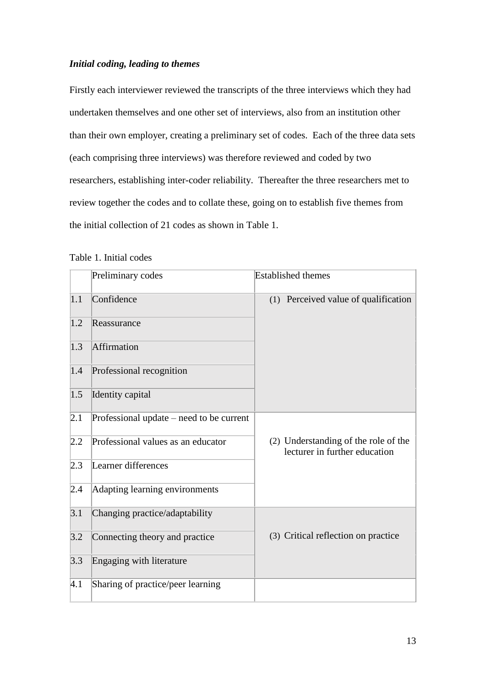# *Initial coding, leading to themes*

Firstly each interviewer reviewed the transcripts of the three interviews which they had undertaken themselves and one other set of interviews, also from an institution other than their own employer, creating a preliminary set of codes. Each of the three data sets (each comprising three interviews) was therefore reviewed and coded by two researchers, establishing inter-coder reliability. Thereafter the three researchers met to review together the codes and to collate these, going on to establish five themes from the initial collection of 21 codes as shown in Table 1.

|               | Preliminary codes                        | <b>Established</b> themes                                             |
|---------------|------------------------------------------|-----------------------------------------------------------------------|
| 1.1           | Confidence                               | (1) Perceived value of qualification                                  |
| 1.2           | Reassurance                              |                                                                       |
| 1.3           | Affirmation                              |                                                                       |
| 1.4           | Professional recognition                 |                                                                       |
| 1.5           | Identity capital                         |                                                                       |
| 2.1           | Professional update – need to be current |                                                                       |
| 2.2           | Professional values as an educator       | (2) Understanding of the role of the<br>lecturer in further education |
| 2.3           | Learner differences                      |                                                                       |
| 2.4           | Adapting learning environments           |                                                                       |
| 3.1           | Changing practice/adaptability           |                                                                       |
| 3.2           | Connecting theory and practice           | (3) Critical reflection on practice                                   |
| 3.3           | Engaging with literature                 |                                                                       |
| $ 4.1\rangle$ | Sharing of practice/peer learning        |                                                                       |

Table 1. Initial codes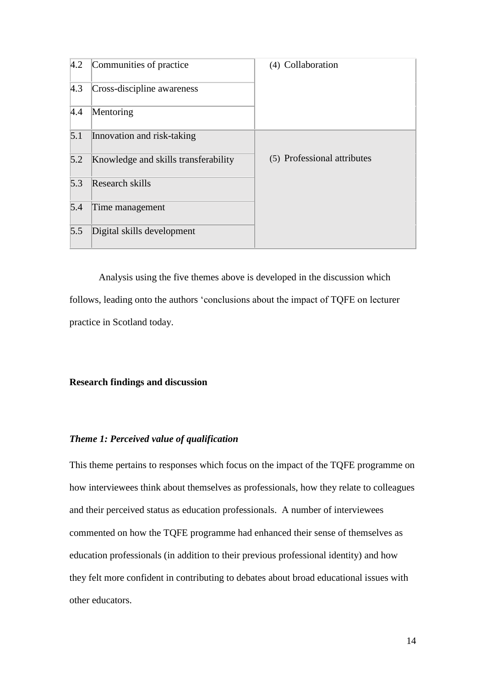| 4.2 | Communities of practice              | (4) Collaboration           |
|-----|--------------------------------------|-----------------------------|
| 4.3 | Cross-discipline awareness           |                             |
| 4.4 | Mentoring                            |                             |
| 5.1 | Innovation and risk-taking           |                             |
| 5.2 | Knowledge and skills transferability | (5) Professional attributes |
| 5.3 | Research skills                      |                             |
| 5.4 | Time management                      |                             |
| 5.5 | Digital skills development           |                             |

Analysis using the five themes above is developed in the discussion which follows, leading onto the authors 'conclusions about the impact of TQFE on lecturer practice in Scotland today.

## **Research findings and discussion**

## *Theme 1: Perceived value of qualification*

This theme pertains to responses which focus on the impact of the TQFE programme on how interviewees think about themselves as professionals, how they relate to colleagues and their perceived status as education professionals. A number of interviewees commented on how the TQFE programme had enhanced their sense of themselves as education professionals (in addition to their previous professional identity) and how they felt more confident in contributing to debates about broad educational issues with other educators.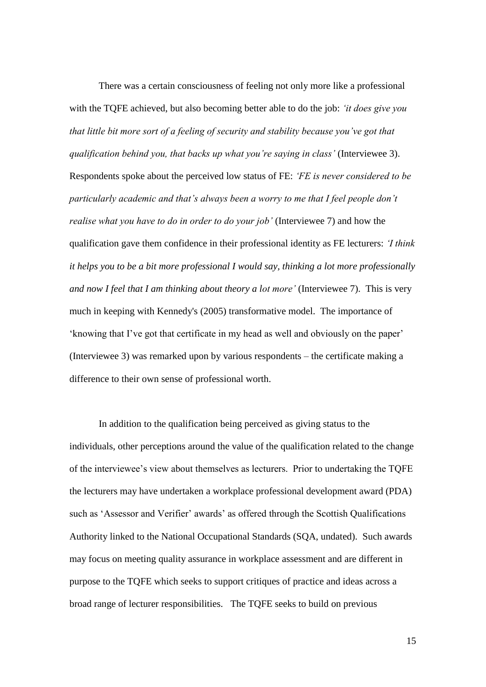There was a certain consciousness of feeling not only more like a professional with the TQFE achieved, but also becoming better able to do the job: *'it does give you that little bit more sort of a feeling of security and stability because you've got that qualification behind you, that backs up what you're saying in class'* (Interviewee 3). Respondents spoke about the perceived low status of FE: *'FE is never considered to be particularly academic and that's always been a worry to me that I feel people don't realise what you have to do in order to do your job'* (Interviewee 7) and how the qualification gave them confidence in their professional identity as FE lecturers: *'I think it helps you to be a bit more professional I would say, thinking a lot more professionally and now I feel that I am thinking about theory a lot more'* (Interviewee 7). This is very much in keeping with Kennedy's (2005) transformative model. The importance of 'knowing that I've got that certificate in my head as well and obviously on the paper' (Interviewee 3) was remarked upon by various respondents – the certificate making a difference to their own sense of professional worth.

In addition to the qualification being perceived as giving status to the individuals, other perceptions around the value of the qualification related to the change of the interviewee's view about themselves as lecturers. Prior to undertaking the TQFE the lecturers may have undertaken a workplace professional development award (PDA) such as 'Assessor and Verifier' awards' as offered through the Scottish Qualifications Authority linked to the National Occupational Standards (SQA, undated). Such awards may focus on meeting quality assurance in workplace assessment and are different in purpose to the TQFE which seeks to support critiques of practice and ideas across a broad range of lecturer responsibilities. The TQFE seeks to build on previous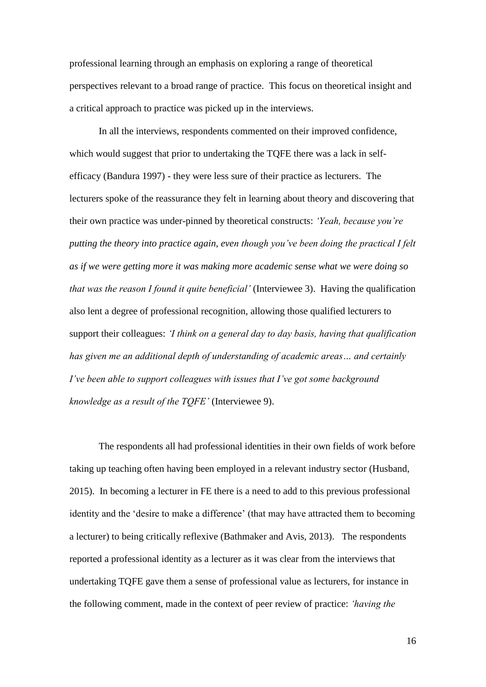professional learning through an emphasis on exploring a range of theoretical perspectives relevant to a broad range of practice. This focus on theoretical insight and a critical approach to practice was picked up in the interviews.

In all the interviews, respondents commented on their improved confidence, which would suggest that prior to undertaking the TQFE there was a lack in selfefficacy (Bandura 1997) - they were less sure of their practice as lecturers. The lecturers spoke of the reassurance they felt in learning about theory and discovering that their own practice was under-pinned by theoretical constructs: *'Yeah, because you're putting the theory into practice again, even though you've been doing the practical I felt as if we were getting more it was making more academic sense what we were doing so that was the reason I found it quite beneficial'* (Interviewee 3). Having the qualification also lent a degree of professional recognition, allowing those qualified lecturers to support their colleagues: *'I think on a general day to day basis, having that qualification has given me an additional depth of understanding of academic areas… and certainly I've been able to support colleagues with issues that I've got some background knowledge as a result of the TQFE'* (Interviewee 9).

The respondents all had professional identities in their own fields of work before taking up teaching often having been employed in a relevant industry sector (Husband, 2015). In becoming a lecturer in FE there is a need to add to this previous professional identity and the 'desire to make a difference' (that may have attracted them to becoming a lecturer) to being critically reflexive (Bathmaker and Avis, 2013). The respondents reported a professional identity as a lecturer as it was clear from the interviews that undertaking TQFE gave them a sense of professional value as lecturers, for instance in the following comment, made in the context of peer review of practice: *'having the*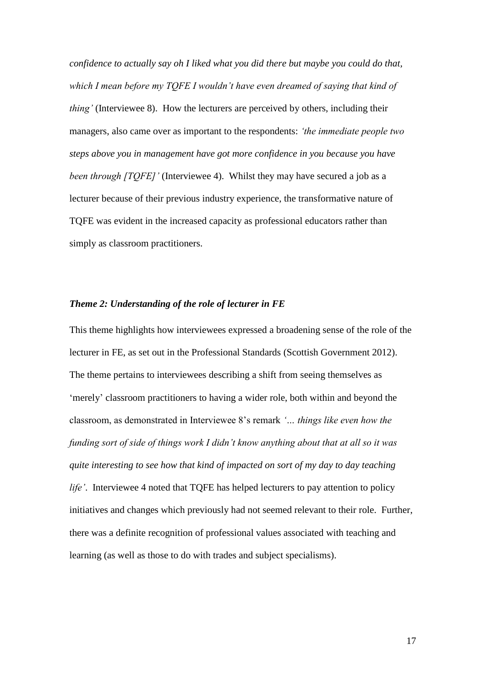*confidence to actually say oh I liked what you did there but maybe you could do that, which I mean before my TQFE I wouldn't have even dreamed of saying that kind of thing'* (Interviewee 8). How the lecturers are perceived by others, including their managers, also came over as important to the respondents: *'the immediate people two steps above you in management have got more confidence in you because you have been through [TQFE]'* (Interviewee 4). Whilst they may have secured a job as a lecturer because of their previous industry experience, the transformative nature of TQFE was evident in the increased capacity as professional educators rather than simply as classroom practitioners.

#### *Theme 2: Understanding of the role of lecturer in FE*

This theme highlights how interviewees expressed a broadening sense of the role of the lecturer in FE, as set out in the Professional Standards (Scottish Government 2012). The theme pertains to interviewees describing a shift from seeing themselves as 'merely' classroom practitioners to having a wider role, both within and beyond the classroom, as demonstrated in Interviewee 8's remark *'… things like even how the funding sort of side of things work I didn't know anything about that at all so it was quite interesting to see how that kind of impacted on sort of my day to day teaching life'*. Interviewee 4 noted that TQFE has helped lecturers to pay attention to policy initiatives and changes which previously had not seemed relevant to their role. Further, there was a definite recognition of professional values associated with teaching and learning (as well as those to do with trades and subject specialisms).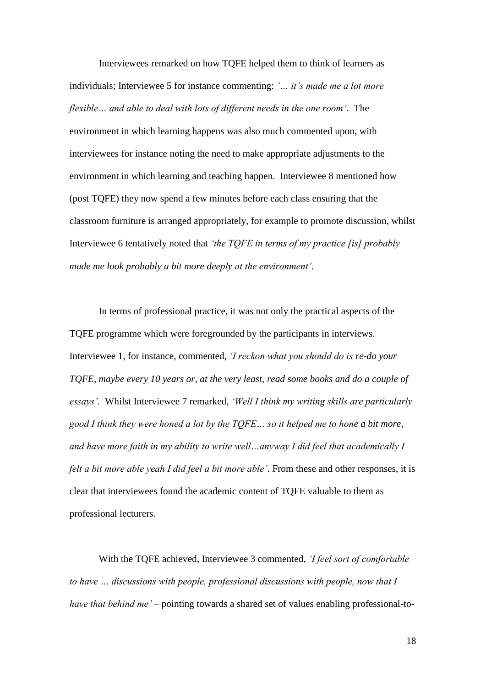Interviewees remarked on how TQFE helped them to think of learners as individuals; Interviewee 5 for instance commenting: *'… it's made me a lot more flexible… and able to deal with lots of different needs in the one room'*. The environment in which learning happens was also much commented upon, with interviewees for instance noting the need to make appropriate adjustments to the environment in which learning and teaching happen. Interviewee 8 mentioned how (post TQFE) they now spend a few minutes before each class ensuring that the classroom furniture is arranged appropriately, for example to promote discussion, whilst Interviewee 6 tentatively noted that *'the TQFE in terms of my practice [is] probably made me look probably a bit more deeply at the environment'*.

In terms of professional practice, it was not only the practical aspects of the TQFE programme which were foregrounded by the participants in interviews. Interviewee 1, for instance, commented, *'I reckon what you should do is re-do your TQFE, maybe every 10 years or, at the very least, read some books and do a couple of essays'*. Whilst Interviewee 7 remarked, *'Well I think my writing skills are particularly good I think they were honed a lot by the TQFE… so it helped me to hone a bit more, and have more faith in my ability to write well…anyway I did feel that academically I felt a bit more able yeah I did feel a bit more able'*. From these and other responses, it is clear that interviewees found the academic content of TQFE valuable to them as professional lecturers.

With the TQFE achieved, Interviewee 3 commented, *'I feel sort of comfortable to have … discussions with people, professional discussions with people, now that I have that behind me'* – pointing towards a shared set of values enabling professional-to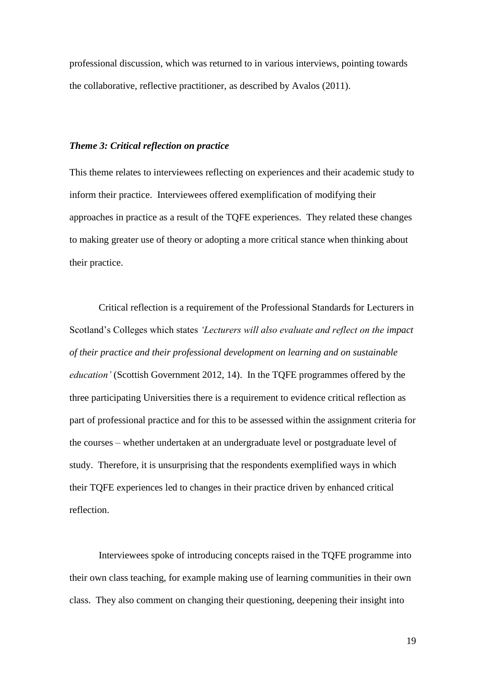professional discussion, which was returned to in various interviews, pointing towards the collaborative, reflective practitioner, as described by Avalos (2011).

#### *Theme 3: Critical reflection on practice*

This theme relates to interviewees reflecting on experiences and their academic study to inform their practice. Interviewees offered exemplification of modifying their approaches in practice as a result of the TQFE experiences. They related these changes to making greater use of theory or adopting a more critical stance when thinking about their practice.

Critical reflection is a requirement of the Professional Standards for Lecturers in Scotland's Colleges which states *'Lecturers will also evaluate and reflect on the impact of their practice and their professional development on learning and on sustainable education'* (Scottish Government 2012, 14). In the TQFE programmes offered by the three participating Universities there is a requirement to evidence critical reflection as part of professional practice and for this to be assessed within the assignment criteria for the courses – whether undertaken at an undergraduate level or postgraduate level of study. Therefore, it is unsurprising that the respondents exemplified ways in which their TQFE experiences led to changes in their practice driven by enhanced critical reflection.

Interviewees spoke of introducing concepts raised in the TQFE programme into their own class teaching, for example making use of learning communities in their own class. They also comment on changing their questioning, deepening their insight into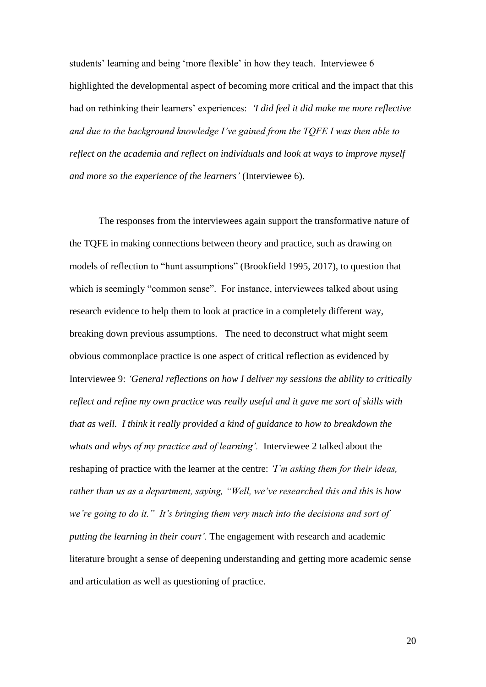students' learning and being 'more flexible' in how they teach. Interviewee 6 highlighted the developmental aspect of becoming more critical and the impact that this had on rethinking their learners' experiences: *'I did feel it did make me more reflective and due to the background knowledge I've gained from the TQFE I was then able to reflect on the academia and reflect on individuals and look at ways to improve myself and more so the experience of the learners'* (Interviewee 6).

The responses from the interviewees again support the transformative nature of the TQFE in making connections between theory and practice, such as drawing on models of reflection to "hunt assumptions" (Brookfield 1995, 2017), to question that which is seemingly "common sense". For instance, interviewees talked about using research evidence to help them to look at practice in a completely different way, breaking down previous assumptions. The need to deconstruct what might seem obvious commonplace practice is one aspect of critical reflection as evidenced by Interviewee 9: *'General reflections on how I deliver my sessions the ability to critically reflect and refine my own practice was really useful and it gave me sort of skills with that as well. I think it really provided a kind of guidance to how to breakdown the whats and whys of my practice and of learning'.* Interviewee 2 talked about the reshaping of practice with the learner at the centre: *'I'm asking them for their ideas, rather than us as a department, saying, "Well, we've researched this and this is how we're going to do it." It's bringing them very much into the decisions and sort of putting the learning in their court'.* The engagement with research and academic literature brought a sense of deepening understanding and getting more academic sense and articulation as well as questioning of practice.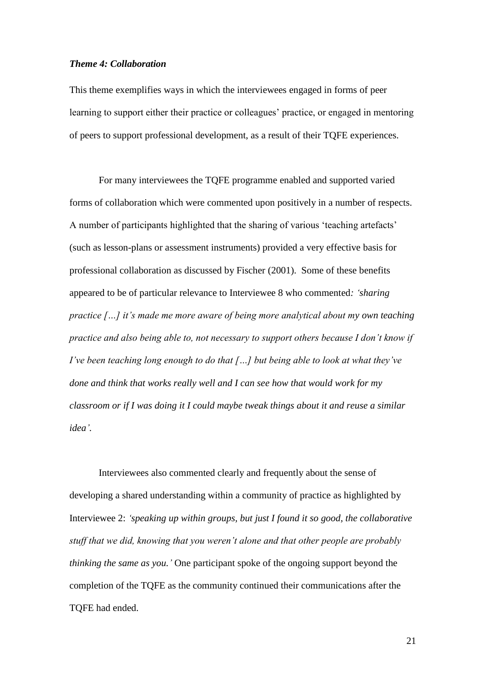## *Theme 4: Collaboration*

This theme exemplifies ways in which the interviewees engaged in forms of peer learning to support either their practice or colleagues' practice, or engaged in mentoring of peers to support professional development, as a result of their TQFE experiences.

For many interviewees the TQFE programme enabled and supported varied forms of collaboration which were commented upon positively in a number of respects. A number of participants highlighted that the sharing of various 'teaching artefacts' (such as lesson-plans or assessment instruments) provided a very effective basis for professional collaboration as discussed by Fischer (2001). Some of these benefits appeared to be of particular relevance to Interviewee 8 who commented*: 'sharing practice […] it's made me more aware of being more analytical about my own teaching practice and also being able to, not necessary to support others because I don't know if I've been teaching long enough to do that […] but being able to look at what they've done and think that works really well and I can see how that would work for my classroom or if I was doing it I could maybe tweak things about it and reuse a similar idea'.*

Interviewees also commented clearly and frequently about the sense of developing a shared understanding within a community of practice as highlighted by Interviewee 2: *'speaking up within groups, but just I found it so good, the collaborative stuff that we did, knowing that you weren't alone and that other people are probably thinking the same as you.'* One participant spoke of the ongoing support beyond the completion of the TQFE as the community continued their communications after the TQFE had ended.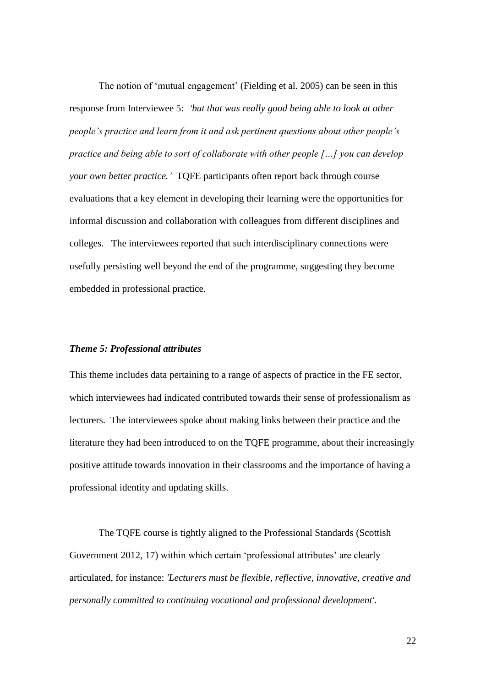The notion of 'mutual engagement' (Fielding et al. 2005) can be seen in this response from Interviewee 5: *'but that was really good being able to look at other people's practice and learn from it and ask pertinent questions about other people's practice and being able to sort of collaborate with other people […] you can develop your own better practice.'* TQFE participants often report back through course evaluations that a key element in developing their learning were the opportunities for informal discussion and collaboration with colleagues from different disciplines and colleges. The interviewees reported that such interdisciplinary connections were usefully persisting well beyond the end of the programme, suggesting they become embedded in professional practice.

### *Theme 5: Professional attributes*

This theme includes data pertaining to a range of aspects of practice in the FE sector, which interviewees had indicated contributed towards their sense of professionalism as lecturers. The interviewees spoke about making links between their practice and the literature they had been introduced to on the TQFE programme, about their increasingly positive attitude towards innovation in their classrooms and the importance of having a professional identity and updating skills.

The TQFE course is tightly aligned to the Professional Standards (Scottish Government 2012, 17) within which certain 'professional attributes' are clearly articulated, for instance: *'Lecturers must be flexible, reflective, innovative, creative and personally committed to continuing vocational and professional development'.*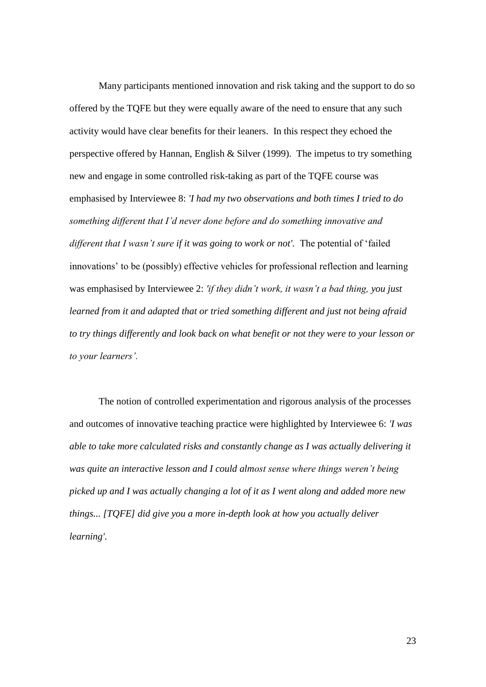Many participants mentioned innovation and risk taking and the support to do so offered by the TQFE but they were equally aware of the need to ensure that any such activity would have clear benefits for their leaners. In this respect they echoed the perspective offered by Hannan, English & Silver (1999). The impetus to try something new and engage in some controlled risk-taking as part of the TQFE course was emphasised by Interviewee 8: *'I had my two observations and both times I tried to do something different that I'd never done before and do something innovative and different that I wasn't sure if it was going to work or not'.* The potential of 'failed innovations' to be (possibly) effective vehicles for professional reflection and learning was emphasised by Interviewee 2: *'if they didn't work, it wasn't a bad thing, you just learned from it and adapted that or tried something different and just not being afraid to try things differently and look back on what benefit or not they were to your lesson or to your learners'.*

The notion of controlled experimentation and rigorous analysis of the processes and outcomes of innovative teaching practice were highlighted by Interviewee 6: *'I was able to take more calculated risks and constantly change as I was actually delivering it was quite an interactive lesson and I could almost sense where things weren't being picked up and I was actually changing a lot of it as I went along and added more new things... [TQFE] did give you a more in-depth look at how you actually deliver learning'.*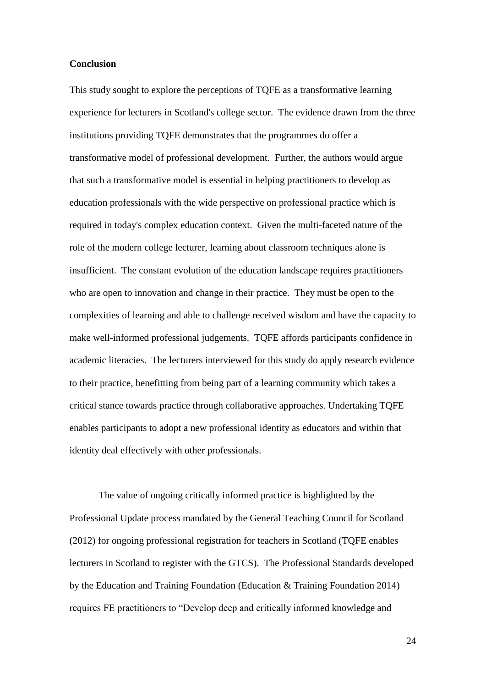### **Conclusion**

This study sought to explore the perceptions of TQFE as a transformative learning experience for lecturers in Scotland's college sector. The evidence drawn from the three institutions providing TQFE demonstrates that the programmes do offer a transformative model of professional development. Further, the authors would argue that such a transformative model is essential in helping practitioners to develop as education professionals with the wide perspective on professional practice which is required in today's complex education context. Given the multi-faceted nature of the role of the modern college lecturer, learning about classroom techniques alone is insufficient. The constant evolution of the education landscape requires practitioners who are open to innovation and change in their practice. They must be open to the complexities of learning and able to challenge received wisdom and have the capacity to make well-informed professional judgements. TQFE affords participants confidence in academic literacies. The lecturers interviewed for this study do apply research evidence to their practice, benefitting from being part of a learning community which takes a critical stance towards practice through collaborative approaches. Undertaking TQFE enables participants to adopt a new professional identity as educators and within that identity deal effectively with other professionals.

The value of ongoing critically informed practice is highlighted by the Professional Update process mandated by the General Teaching Council for Scotland (2012) for ongoing professional registration for teachers in Scotland (TQFE enables lecturers in Scotland to register with the GTCS). The Professional Standards developed by the Education and Training Foundation (Education & Training Foundation 2014) requires FE practitioners to "Develop deep and critically informed knowledge and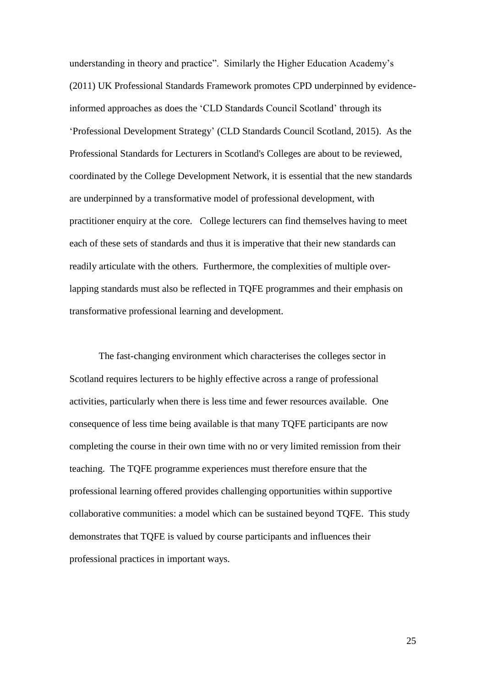understanding in theory and practice". Similarly the Higher Education Academy's (2011) UK Professional Standards Framework promotes CPD underpinned by evidenceinformed approaches as does the 'CLD Standards Council Scotland' through its 'Professional Development Strategy' (CLD Standards Council Scotland, 2015). As the Professional Standards for Lecturers in Scotland's Colleges are about to be reviewed, coordinated by the College Development Network, it is essential that the new standards are underpinned by a transformative model of professional development, with practitioner enquiry at the core. College lecturers can find themselves having to meet each of these sets of standards and thus it is imperative that their new standards can readily articulate with the others. Furthermore, the complexities of multiple overlapping standards must also be reflected in TQFE programmes and their emphasis on transformative professional learning and development.

The fast-changing environment which characterises the colleges sector in Scotland requires lecturers to be highly effective across a range of professional activities, particularly when there is less time and fewer resources available. One consequence of less time being available is that many TQFE participants are now completing the course in their own time with no or very limited remission from their teaching. The TQFE programme experiences must therefore ensure that the professional learning offered provides challenging opportunities within supportive collaborative communities: a model which can be sustained beyond TQFE. This study demonstrates that TQFE is valued by course participants and influences their professional practices in important ways.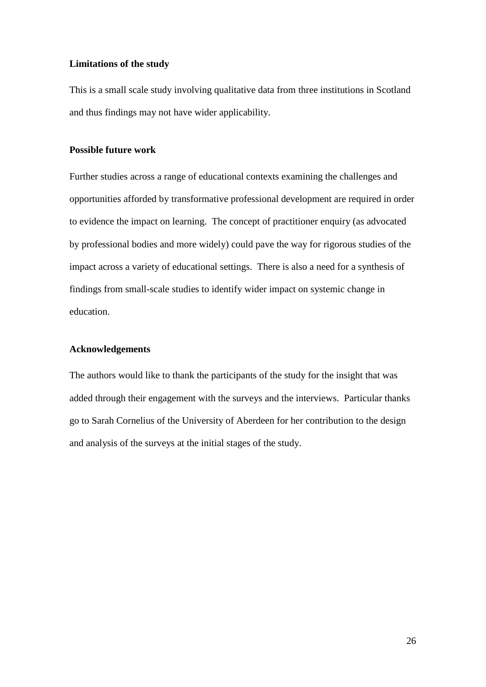## **Limitations of the study**

This is a small scale study involving qualitative data from three institutions in Scotland and thus findings may not have wider applicability.

## **Possible future work**

Further studies across a range of educational contexts examining the challenges and opportunities afforded by transformative professional development are required in order to evidence the impact on learning. The concept of practitioner enquiry (as advocated by professional bodies and more widely) could pave the way for rigorous studies of the impact across a variety of educational settings. There is also a need for a synthesis of findings from small-scale studies to identify wider impact on systemic change in education.

# **Acknowledgements**

The authors would like to thank the participants of the study for the insight that was added through their engagement with the surveys and the interviews. Particular thanks go to Sarah Cornelius of the University of Aberdeen for her contribution to the design and analysis of the surveys at the initial stages of the study.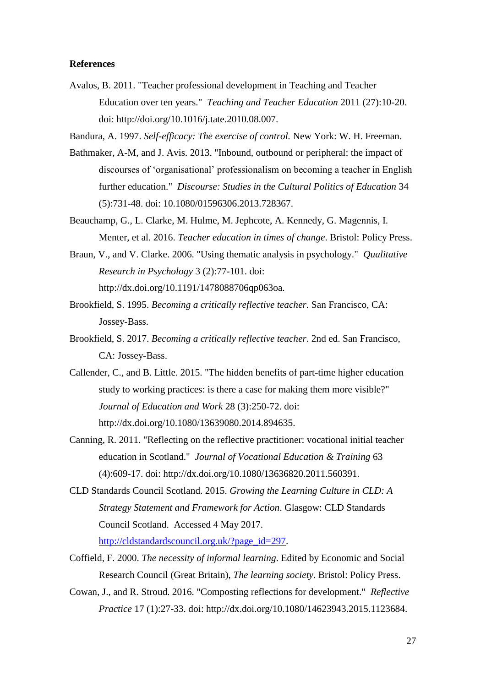## **References**

- Avalos, B. 2011. "Teacher professional development in Teaching and Teacher Education over ten years." *Teaching and Teacher Education* 2011 (27):10-20. doi: http://doi.org/10.1016/j.tate.2010.08.007.
- Bandura, A. 1997. *Self-efficacy: The exercise of control.* New York: W. H. Freeman.
- Bathmaker, A-M, and J. Avis. 2013. "Inbound, outbound or peripheral: the impact of discourses of 'organisational' professionalism on becoming a teacher in English further education." *Discourse: Studies in the Cultural Politics of Education* 34 (5):731-48. doi: 10.1080/01596306.2013.728367.
- Beauchamp, G., L. Clarke, M. Hulme, M. Jephcote, A. Kennedy, G. Magennis, I. Menter, et al. 2016. *Teacher education in times of change*. Bristol: Policy Press.
- Braun, V., and V. Clarke. 2006. "Using thematic analysis in psychology." *Qualitative Research in Psychology* 3 (2):77-101. doi: http://dx.doi.org/10.1191/1478088706qp063oa.
- Brookfield, S. 1995. *Becoming a critically reflective teacher.* San Francisco, CA: Jossey-Bass.
- Brookfield, S. 2017. *Becoming a critically reflective teacher*. 2nd ed. San Francisco, CA: Jossey-Bass.
- Callender, C., and B. Little. 2015. "The hidden benefits of part-time higher education study to working practices: is there a case for making them more visible?" *Journal of Education and Work* 28 (3):250-72. doi: http://dx.doi.org/10.1080/13639080.2014.894635.
- Canning, R. 2011. "Reflecting on the reflective practitioner: vocational initial teacher education in Scotland." *Journal of Vocational Education & Training* 63 (4):609-17. doi: http://dx.doi.org/10.1080/13636820.2011.560391.
- CLD Standards Council Scotland. 2015. *Growing the Learning Culture in CLD: A Strategy Statement and Framework for Action*. Glasgow: CLD Standards Council Scotland. Accessed 4 May 2017.

[http://cldstandardscouncil.org.uk/?page\\_id=297.](http://cldstandardscouncil.org.uk/?page_id=297)

- Coffield, F. 2000. *The necessity of informal learning*. Edited by Economic and Social Research Council (Great Britain), *The learning society*. Bristol: Policy Press.
- Cowan, J., and R. Stroud. 2016. "Composting reflections for development." *Reflective Practice* 17 (1):27-33. doi: http://dx.doi.org/10.1080/14623943.2015.1123684.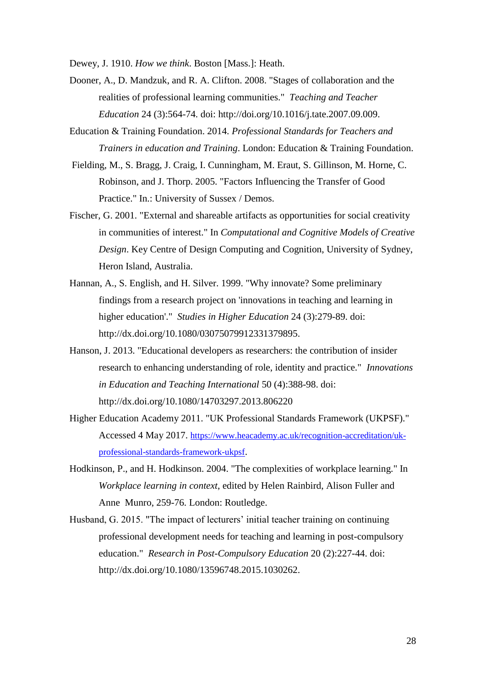Dewey, J. 1910. *How we think*. Boston [Mass.]: Heath.

- Dooner, A., D. Mandzuk, and R. A. Clifton. 2008. "Stages of collaboration and the realities of professional learning communities." *Teaching and Teacher Education* 24 (3):564-74. doi: http://doi.org/10.1016/j.tate.2007.09.009.
- Education & Training Foundation. 2014. *Professional Standards for Teachers and Trainers in education and Training*. London: Education & Training Foundation.
- Fielding, M., S. Bragg, J. Craig, I. Cunningham, M. Eraut, S. Gillinson, M. Horne, C. Robinson, and J. Thorp. 2005. "Factors Influencing the Transfer of Good Practice." In.: University of Sussex / Demos.
- Fischer, G. 2001. "External and shareable artifacts as opportunities for social creativity in communities of interest." In *Computational and Cognitive Models of Creative Design*. Key Centre of Design Computing and Cognition, University of Sydney, Heron Island, Australia.
- Hannan, A., S. English, and H. Silver. 1999. "Why innovate? Some preliminary findings from a research project on 'innovations in teaching and learning in higher education'." *Studies in Higher Education* 24 (3):279-89. doi: http://dx.doi.org/10.1080/03075079912331379895.
- Hanson, J. 2013. "Educational developers as researchers: the contribution of insider research to enhancing understanding of role, identity and practice." *Innovations in Education and Teaching International* 50 (4):388-98. doi: http://dx.doi.org/10.1080/14703297.2013.806220
- Higher Education Academy 2011. "UK Professional Standards Framework (UKPSF)." Accessed 4 May 2017. [https://www.heacademy.ac.uk/recognition-accreditation/uk](https://www.heacademy.ac.uk/recognition-accreditation/uk-professional-standards-framework-ukpsf)[professional-standards-framework-ukpsf](https://www.heacademy.ac.uk/recognition-accreditation/uk-professional-standards-framework-ukpsf).
- Hodkinson, P., and H. Hodkinson. 2004. "The complexities of workplace learning." In *Workplace learning in context*, edited by Helen Rainbird, Alison Fuller and Anne Munro, 259-76. London: Routledge.
- Husband, G. 2015. "The impact of lecturers' initial teacher training on continuing professional development needs for teaching and learning in post-compulsory education." *Research in Post-Compulsory Education* 20 (2):227-44. doi: http://dx.doi.org/10.1080/13596748.2015.1030262.